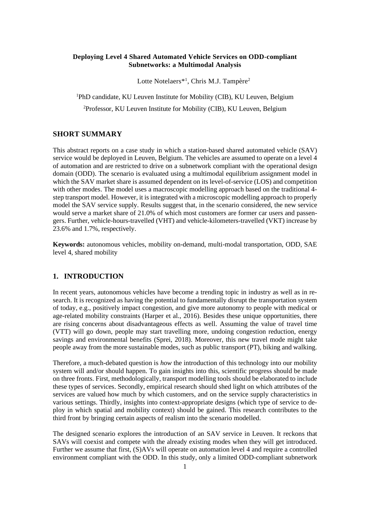#### **Deploying Level 4 Shared Automated Vehicle Services on ODD-compliant Subnetworks: a Multimodal Analysis**

Lotte Notelaers<sup>\*1</sup>, Chris M.J. Tampère<sup>2</sup>

<sup>1</sup>PhD candidate, KU Leuven Institute for Mobility (CIB), KU Leuven, Belgium <sup>2</sup>Professor, KU Leuven Institute for Mobility (CIB), KU Leuven, Belgium

## **SHORT SUMMARY**

This abstract reports on a case study in which a station-based shared automated vehicle (SAV) service would be deployed in Leuven, Belgium. The vehicles are assumed to operate on a level 4 of automation and are restricted to drive on a subnetwork compliant with the operational design domain (ODD). The scenario is evaluated using a multimodal equilibrium assignment model in which the SAV market share is assumed dependent on its level-of-service (LOS) and competition with other modes. The model uses a macroscopic modelling approach based on the traditional 4step transport model. However, it is integrated with a microscopic modelling approach to properly model the SAV service supply. Results suggest that, in the scenario considered, the new service would serve a market share of 21.0% of which most customers are former car users and passengers. Further, vehicle-hours-travelled (VHT) and vehicle-kilometers-travelled (VKT) increase by 23.6% and 1.7%, respectively.

**Keywords:** autonomous vehicles, mobility on-demand, multi-modal transportation, ODD, SAE level 4, shared mobility

# **1. INTRODUCTION**

In recent years, autonomous vehicles have become a trending topic in industry as well as in research. It is recognized as having the potential to fundamentally disrupt the transportation system of today, e.g., positively impact congestion, and give more autonomy to people with medical or age-related mobility constraints (Harper et al., 2016). Besides these unique opportunities, there are rising concerns about disadvantageous effects as well. Assuming the value of travel time (VTT) will go down, people may start travelling more, undoing congestion reduction, energy savings and environmental benefits (Sprei, 2018). Moreover, this new travel mode might take people away from the more sustainable modes, such as public transport (PT), biking and walking.

Therefore, a much-debated question is *how* the introduction of this technology into our mobility system will and/or should happen. To gain insights into this, scientific progress should be made on three fronts. First, methodologically, transport modelling tools should be elaborated to include these types of services. Secondly, empirical research should shed light on which attributes of the services are valued how much by which customers, and on the service supply characteristics in various settings. Thirdly, insights into context-appropriate designs (which type of service to deploy in which spatial and mobility context) should be gained. This research contributes to the third front by bringing certain aspects of realism into the scenario modelled.

The designed scenario explores the introduction of an SAV service in Leuven. It reckons that SAVs will coexist and compete with the already existing modes when they will get introduced. Further we assume that first, (S)AVs will operate on automation level 4 and require a controlled environment compliant with the ODD. In this study, only a limited ODD-compliant subnetwork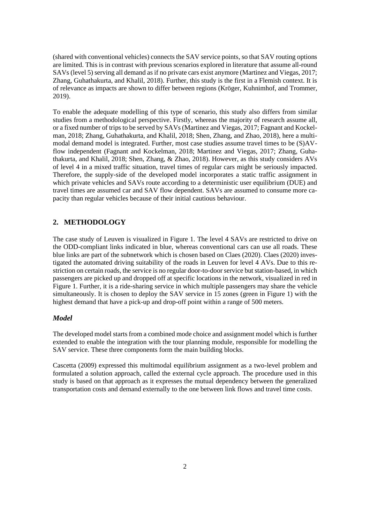(shared with conventional vehicles) connects the SAV service points, so that SAV routing options are limited. This is in contrast with previous scenarios explored in literature that assume all-round SAVs (level 5) serving all demand as if no private cars exist anymore (Martinez and Viegas, 2017; Zhang, Guhathakurta, and Khalil, 2018). Further, this study is the first in a Flemish context. It is of relevance as impacts are shown to differ between regions (Kröger, Kuhnimhof, and Trommer, 2019).

To enable the adequate modelling of this type of scenario, this study also differs from similar studies from a methodological perspective. Firstly, whereas the majority of research assume all, or a fixed number of trips to be served by SAVs (Martinez and Viegas, 2017; Fagnant and Kockelman, 2018; Zhang, Guhathakurta, and Khalil, 2018; Shen, Zhang, and Zhao, 2018), here a multimodal demand model is integrated. Further, most case studies assume travel times to be (S)AVflow independent (Fagnant and Kockelman, 2018; Martinez and Viegas, 2017; Zhang, Guhathakurta, and Khalil, 2018; Shen, Zhang, & Zhao, 2018). However, as this study considers AVs of level 4 in a mixed traffic situation, travel times of regular cars might be seriously impacted. Therefore, the supply-side of the developed model incorporates a static traffic assignment in which private vehicles and SAVs route according to a deterministic user equilibrium (DUE) and travel times are assumed car and SAV flow dependent. SAVs are assumed to consume more capacity than regular vehicles because of their initial cautious behaviour.

## **2. METHODOLOGY**

The case study of Leuven is visualized in Figure 1. The level 4 SAVs are restricted to drive on the ODD-compliant links indicated in blue, whereas conventional cars can use all roads. These blue links are part of the subnetwork which is chosen based on Claes (2020). Claes (2020) investigated the automated driving suitability of the roads in Leuven for level 4 AVs. Due to this restriction on certain roads, the service is no regular door-to-door service but station-based, in which passengers are picked up and dropped off at specific locations in the network, visualized in red in Figure 1. Further, it is a ride-sharing service in which multiple passengers may share the vehicle simultaneously. It is chosen to deploy the SAV service in 15 zones (green in Figure 1) with the highest demand that have a pick-up and drop-off point within a range of 500 meters.

#### *Model*

The developed model starts from a combined mode choice and assignment model which is further extended to enable the integration with the tour planning module, responsible for modelling the SAV service. These three components form the main building blocks.

Cascetta (2009) expressed this multimodal equilibrium assignment as a two-level problem and formulated a solution approach, called the external cycle approach. The procedure used in this study is based on that approach as it expresses the mutual dependency between the generalized transportation costs and demand externally to the one between link flows and travel time costs.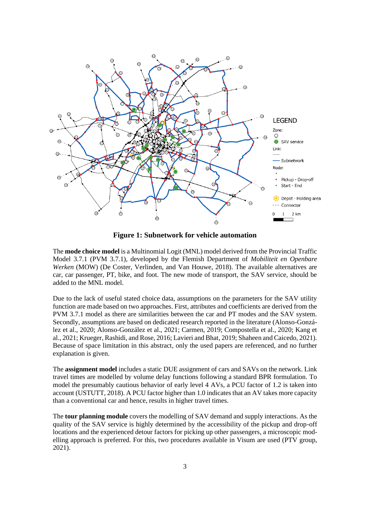

**Figure 1: Subnetwork for vehicle automation**

The **mode choice model** is a Multinomial Logit (MNL) model derived from the Provincial Traffic Model 3.7.1 (PVM 3.7.1), developed by the Flemish Department of *Mobiliteit en Openbare Werken* (MOW) (De Coster, Verlinden, and Van Houwe, 2018). The available alternatives are car, car passenger, PT, bike, and foot. The new mode of transport, the SAV service, should be added to the MNL model.

Due to the lack of useful stated choice data, assumptions on the parameters for the SAV utility function are made based on two approaches. First, attributes and coefficients are derived from the PVM 3.7.1 model as there are similarities between the car and PT modes and the SAV system. Secondly, assumptions are based on dedicated research reported in the literature (Alonso-González et al., 2020; Alonso-González et al., 2021; Carmen, 2019; Compostella et al., 2020; Kang et al., 2021; Krueger, Rashidi, and Rose, 2016; Lavieri and Bhat, 2019; Shaheen and Caicedo, 2021). Because of space limitation in this abstract, only the used papers are referenced, and no further explanation is given.

The **assignment model** includes a static DUE assignment of cars and SAVs on the network. Link travel times are modelled by volume delay functions following a standard BPR formulation. To model the presumably cautious behavior of early level 4 AVs, a PCU factor of 1.2 is taken into account (USTUTT, 2018). A PCU factor higher than 1.0 indicates that an AV takes more capacity than a conventional car and hence, results in higher travel times.

The **tour planning module** covers the modelling of SAV demand and supply interactions. As the quality of the SAV service is highly determined by the accessibility of the pickup and drop-off locations and the experienced detour factors for picking up other passengers, a microscopic modelling approach is preferred. For this, two procedures available in Visum are used (PTV group, 2021).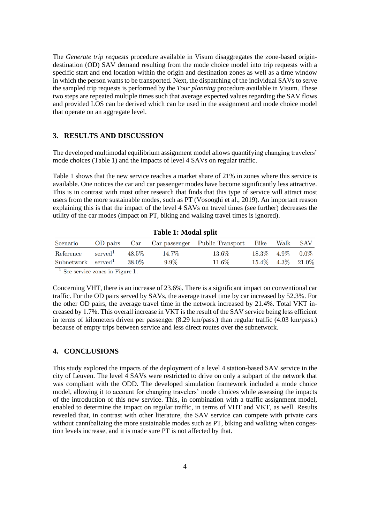The *Generate trip requests* procedure available in Visum disaggregates the zone-based origindestination (OD) SAV demand resulting from the mode choice model into trip requests with a specific start and end location within the origin and destination zones as well as a time window in which the person wants to be transported. Next, the dispatching of the individual SAVs to serve the sampled trip requests is performed by the *Tour planning* procedure available in Visum. These two steps are repeated multiple times such that average expected values regarding the SAV flows and provided LOS can be derived which can be used in the assignment and mode choice model that operate on an aggregate level.

#### **3. RESULTS AND DISCUSSION**

The developed multimodal equilibrium assignment model allows quantifying changing travelers' mode choices (Table 1) and the impacts of level 4 SAVs on regular traffic.

Table 1 shows that the new service reaches a market share of 21% in zones where this service is available. One notices the car and car passenger modes have become significantly less attractive. This is in contrast with most other research that finds that this type of service will attract most users from the more sustainable modes, such as PT (Vosooghi et al., 2019). An important reason explaining this is that the impact of the level 4 SAVs on travel times (see further) decreases the utility of the car modes (impact on PT, biking and walking travel times is ignored).

| Scenario                         |                     |        |         |                                                           |  |                          |  |
|----------------------------------|---------------------|--------|---------|-----------------------------------------------------------|--|--------------------------|--|
|                                  |                     |        |         | OD pairs Car Car passenger Public Transport Bike Walk SAV |  |                          |  |
| Reference                        | $\mathrm{served}^1$ | 48.5%  | 14.7%   | 13.6%                                                     |  | $18.3\%$ $4.9\%$ $0.0\%$ |  |
| $Subnetwork$ served <sup>1</sup> |                     | -38.0% | $9.9\%$ | 11.6%                                                     |  | 15.4\% 4.3\% 21.0\%      |  |

**Table 1: Modal split**

 $<sup>1</sup>$  See service zones in Figure 1.</sup>

Concerning VHT, there is an increase of 23.6%. There is a significant impact on conventional car traffic. For the OD pairs served by SAVs, the average travel time by car increased by 52.3%. For the other OD pairs, the average travel time in the network increased by 21.4%. Total VKT increased by 1.7%. This overall increase in VKT is the result of the SAV service being less efficient in terms of kilometers driven per passenger (8.29 km/pass.) than regular traffic (4.03 km/pass.) because of empty trips between service and less direct routes over the subnetwork.

## **4. CONCLUSIONS**

This study explored the impacts of the deployment of a level 4 station-based SAV service in the city of Leuven. The level 4 SAVs were restricted to drive on only a subpart of the network that was compliant with the ODD. The developed simulation framework included a mode choice model, allowing it to account for changing travelers' mode choices while assessing the impacts of the introduction of this new service. This, in combination with a traffic assignment model, enabled to determine the impact on regular traffic, in terms of VHT and VKT, as well. Results revealed that, in contrast with other literature, the SAV service can compete with private cars without cannibalizing the more sustainable modes such as PT, biking and walking when congestion levels increase, and it is made sure PT is not affected by that.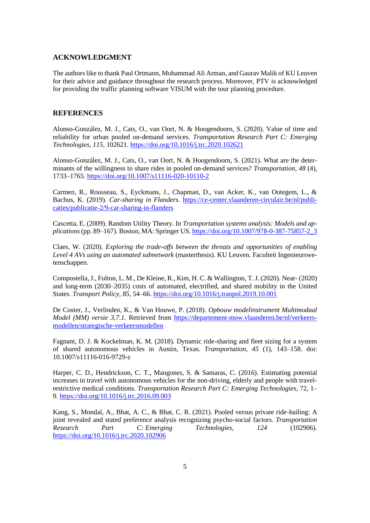#### **ACKNOWLEDGMENT**

The authors like to thank Paul Ortmann, Mohammad Ali Arman, and Gaurav Malik of KU Leuven for their advice and guidance throughout the research process. Moreover, PTV is acknowledged for providing the traffic planning software VISUM with the tour planning procedure.

### **REFERENCES**

Alonso-González, M. J., Cats, O., van Oort, N. & Hoogendoorn, S. (2020). Value of time and reliability for urban pooled on-demand services. *Transportation Research Part C: Emerging Technologies*, *115*, 102621[. https://doi.org/10.1016/j.trc.2020.102621](https://doi.org/10.1016/j.trc.2020.102621)

Alonso-González, M. J., Cats, O., van Oort, N. & Hoogendoorn, S. (2021). What are the determinants of the willingness to share rides in pooled on-demand services? *Transportation*, *48* (4), 1733–1765. <https://doi.org/10.1007/s11116-020-10110-2>

Carmen, R., Rousseau, S., Eyckmans, J., Chapman, D., van Acker, K., van Ootegem, L., & Bachus, K. (2019). *Car-sharing in Flanders*. [https://ce-center.vlaanderen-circulair.be/nl/publi](https://ce-center.vlaanderen-circulair.be/nl/publicaties/publicatie-2/9-car-sharing-in-flanders)[caties/publicatie-2/9-car-sharing-in-flanders](https://ce-center.vlaanderen-circulair.be/nl/publicaties/publicatie-2/9-car-sharing-in-flanders)

Cascetta, E. (2009). Random Utility Theory. In *Transportation systems analysis: Models and applications* (pp. 89–167). Boston, MA: Springer US[. https://doi.org/10.1007/978-0-387-75857-2\\_3](https://doi.org/10.1007/978-0-387-75857-2_3)

Claes, W. (2020). *Exploring the trade-offs between the threats and opportunities of enabling Level 4 AVs using an automated subnetwork* (masterthesis). KU Leuven. Faculteit Ingenieurswetenschappen.

Compostella, J., Fulton, L. M., De Kleine, R., Kim, H. C. & Wallington, T. J. (2020). Near- (2020) and long-term (2030–2035) costs of automated, electrified, and shared mobility in the United States. *Transport Policy*, *85*, 54–66[. https://doi.org/10.1016/j.tranpol.2019.10.001](https://doi.org/10.1016/j.tranpol.2019.10.001)

De Coster, J., Verlinden, K., & Van Houwe, P. (2018). *Opbouw modelinstrument Multimodaal Model (MM) versie 3.7.1.* Retrieved from [https://departement-mow.vlaanderen.be/nl/verkeers](https://departement-mow.vlaanderen.be/nl/verkeersmodellen/strategische-verkeersmodellen)[modellen/strategische-verkeersmodellen](https://departement-mow.vlaanderen.be/nl/verkeersmodellen/strategische-verkeersmodellen)

Fagnant, D. J. & Kockelman, K. M. (2018). Dynamic ride-sharing and fleet sizing for a system of shared autonomous vehicles in Austin, Texas. *Transportation*, *45* (1), 143–158. doi: 10.1007/s11116-016-9729-z

Harper, C. D., Hendrickson, C. T., Mangones, S. & Samaras, C. (2016). Estimating potential increases in travel with autonomous vehicles for the non-driving, elderly and people with travelrestrictive medical conditions. *Transportation Research Part C: Emerging Technologies*, 72, 1– 9.<https://doi.org/10.1016/j.trc.2016.09.003>

Kang, S., Mondal, A., Bhat, A. C., & Bhat, C. R. (2021). Pooled versus private ride-hailing: A joint revealed and stated preference analysis recognizing psycho-social factors. *Transportation Research Part C: Emerging Technologies*, *124* (102906). <https://doi.org/10.1016/j.trc.2020.102906>